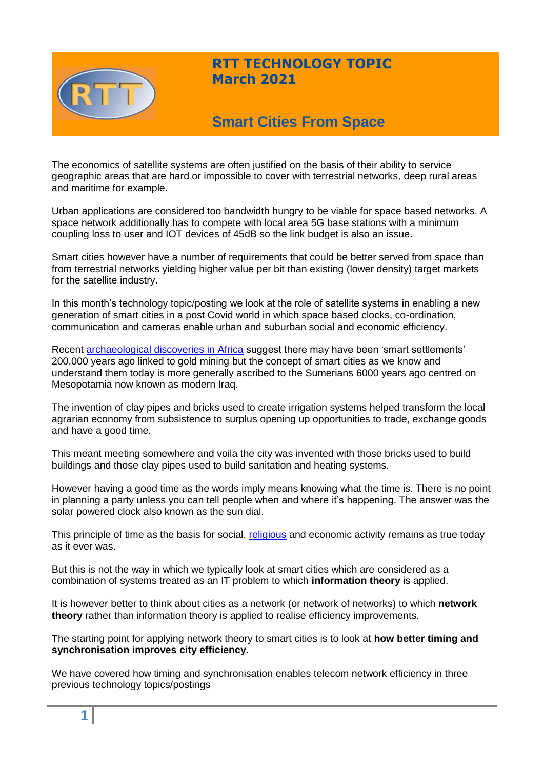

# **RTT TECHNOLOGY TOPIC March 2021**

# **Smart Cities From Space**

The economics of satellite systems are often justified on the basis of their ability to service geographic areas that are hard or impossible to cover with terrestrial networks, deep rural areas and maritime for example.

Urban applications are considered too bandwidth hungry to be viable for space based networks. A space network additionally has to compete with local area 5G base stations with a minimum coupling loss to user and IOT devices of 45dB so the link budget is also an issue.

Smart cities however have a number of requirements that could be better served from space than from terrestrial networks yielding higher value per bit than existing (lower density) target markets for the satellite industry.

In this month's technology topic/posting we look at the role of satellite systems in enabling a new generation of smart cities in a post Covid world in which space based clocks, co-ordination, communication and cameras enable urban and suburban social and economic efficiency.

Recent [archaeological](https://archaeology-world.com/the-200000-year-old-city-found-in-southern-africa-may-rewrite-history/) discoveries in Africa suggest there may have been 'smart settlements' 200,000 years ago linked to gold mining but the concept of smart cities as we know and understand them today is more generally ascribed to the Sumerians 6000 years ago centred on Mesopotamia now known as modern Iraq.

The invention of clay pipes and bricks used to create irrigation systems helped transform the local agrarian economy from subsistence to surplus opening up opportunities to trade, exchange goods and have a good time.

This meant meeting somewhere and voila the city was invented with those bricks used to build buildings and those clay pipes used to build sanitation and heating systems.

However having a good time as the words imply means knowing what the time is. There is no point in planning a party unless you can tell people when and where it's happening. The answer was the solar powered clock also known as the sun dial.

This principle of time as the basis for social, [religious](https://www.reference.com/history/sumerian-religion-d832ddbd5a781392) and economic activity remains as true today as it ever was.

But this is not the way in which we typically look at smart cities which are considered as a combination of systems treated as an IT problem to which **information theory** is applied.

It is however better to think about cities as a network (or network of networks) to which **network theory** rather than information theory is applied to realise efficiency improvements.

The starting point for applying network theory to smart cities is to look at **how better timing and synchronisation improves city efficiency.**

We have covered how timing and synchronisation enables telecom network efficiency in three previous technology topics/postings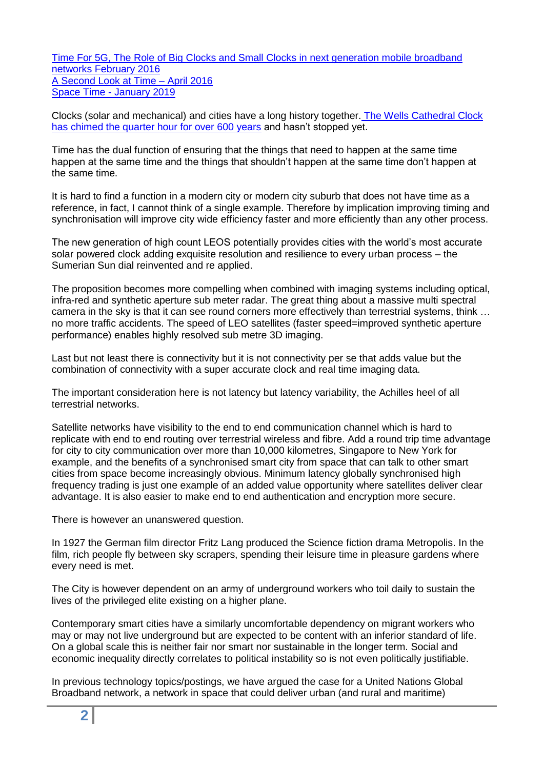[Time For 5G, The Role of Big Clocks and Small Clocks in next generation mobile broadband](https://www.rttonline.com/tt/TT2016_002.pdf)  [networks February 2016](https://www.rttonline.com/tt/TT2016_002.pdf) [A Second Look at Time –](https://www.rttonline.com/tt/TT2016_004.pdf) April 2016 Space Time - [January 2019](https://www.rttonline.com/tt/TT2019_001.pdf)

Clocks (solar and mechanical) and cities have a long history together. [The Wells Cathedral Clock](https://www.wellsvoice.co.uk/wells-clock-mechanism-science-museum)  [has chimed the quarter hour for over 600 years](https://www.wellsvoice.co.uk/wells-clock-mechanism-science-museum) and hasn't stopped yet.

Time has the dual function of ensuring that the things that need to happen at the same time happen at the same time and the things that shouldn't happen at the same time don't happen at the same time.

It is hard to find a function in a modern city or modern city suburb that does not have time as a reference, in fact, I cannot think of a single example. Therefore by implication improving timing and synchronisation will improve city wide efficiency faster and more efficiently than any other process.

The new generation of high count LEOS potentially provides cities with the world's most accurate solar powered clock adding exquisite resolution and resilience to every urban process – the Sumerian Sun dial reinvented and re applied.

The proposition becomes more compelling when combined with imaging systems including optical, infra-red and synthetic aperture sub meter radar. The great thing about a massive multi spectral camera in the sky is that it can see round corners more effectively than terrestrial systems, think … no more traffic accidents. The speed of LEO satellites (faster speed=improved synthetic aperture performance) enables highly resolved sub metre 3D imaging.

Last but not least there is connectivity but it is not connectivity per se that adds value but the combination of connectivity with a super accurate clock and real time imaging data.

The important consideration here is not latency but latency variability, the Achilles heel of all terrestrial networks.

Satellite networks have visibility to the end to end communication channel which is hard to replicate with end to end routing over terrestrial wireless and fibre. Add a round trip time advantage for city to city communication over more than 10,000 kilometres, Singapore to New York for example, and the benefits of a synchronised smart city from space that can talk to other smart cities from space become increasingly obvious. Minimum latency globally synchronised high frequency trading is just one example of an added value opportunity where satellites deliver clear advantage. It is also easier to make end to end authentication and encryption more secure.

There is however an unanswered question.

In 1927 the German film director Fritz Lang produced the Science fiction drama Metropolis. In the film, rich people fly between sky scrapers, spending their leisure time in pleasure gardens where every need is met.

The City is however dependent on an army of underground workers who toil daily to sustain the lives of the privileged elite existing on a higher plane.

Contemporary smart cities have a similarly uncomfortable dependency on migrant workers who may or may not live underground but are expected to be content with an inferior standard of life. On a global scale this is neither fair nor smart nor sustainable in the longer term. Social and economic inequality directly correlates to political instability so is not even politically justifiable.

In previous technology topics/postings, we have argued the case for a United Nations Global Broadband network, a network in space that could deliver urban (and rural and maritime)